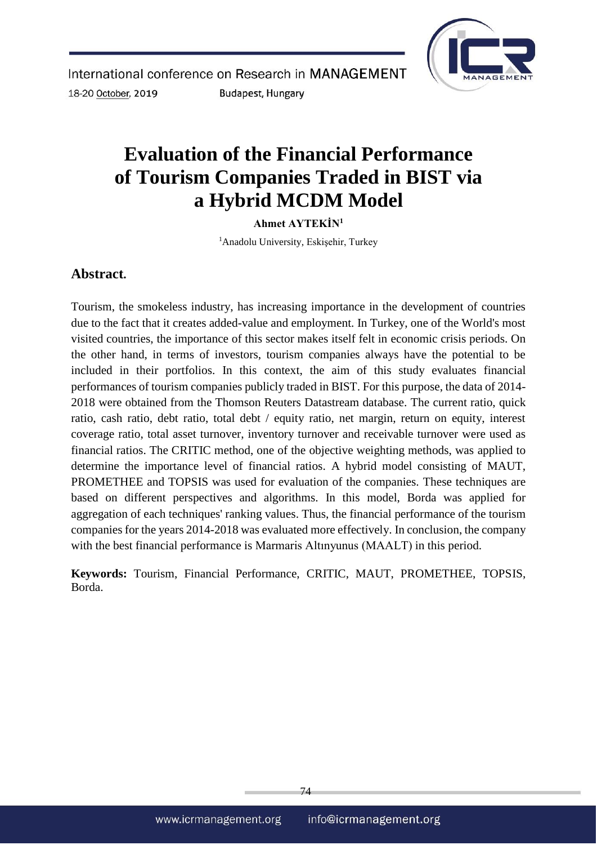

# **Evaluation of the Financial Performance of Tourism Companies Traded in BIST via a Hybrid MCDM Model**

**Ahmet AYTEKİN<sup>1</sup>**

<sup>1</sup>Anadolu University, Eskişehir, Turkey

# **Abstract.**

Tourism, the smokeless industry, has increasing importance in the development of countries due to the fact that it creates added-value and employment. In Turkey, one of the World's most visited countries, the importance of this sector makes itself felt in economic crisis periods. On the other hand, in terms of investors, tourism companies always have the potential to be included in their portfolios. In this context, the aim of this study evaluates financial performances of tourism companies publicly traded in BIST. For this purpose, the data of 2014- 2018 were obtained from the Thomson Reuters Datastream database. The current ratio, quick ratio, cash ratio, debt ratio, total debt / equity ratio, net margin, return on equity, interest coverage ratio, total asset turnover, inventory turnover and receivable turnover were used as financial ratios. The CRITIC method, one of the objective weighting methods, was applied to determine the importance level of financial ratios. A hybrid model consisting of MAUT, PROMETHEE and TOPSIS was used for evaluation of the companies. These techniques are based on different perspectives and algorithms. In this model, Borda was applied for aggregation of each techniques' ranking values. Thus, the financial performance of the tourism companies for the years 2014-2018 was evaluated more effectively. In conclusion, the company with the best financial performance is Marmaris Altınyunus (MAALT) in this period.

**Keywords:** Tourism, Financial Performance, CRITIC, MAUT, PROMETHEE, TOPSIS, Borda.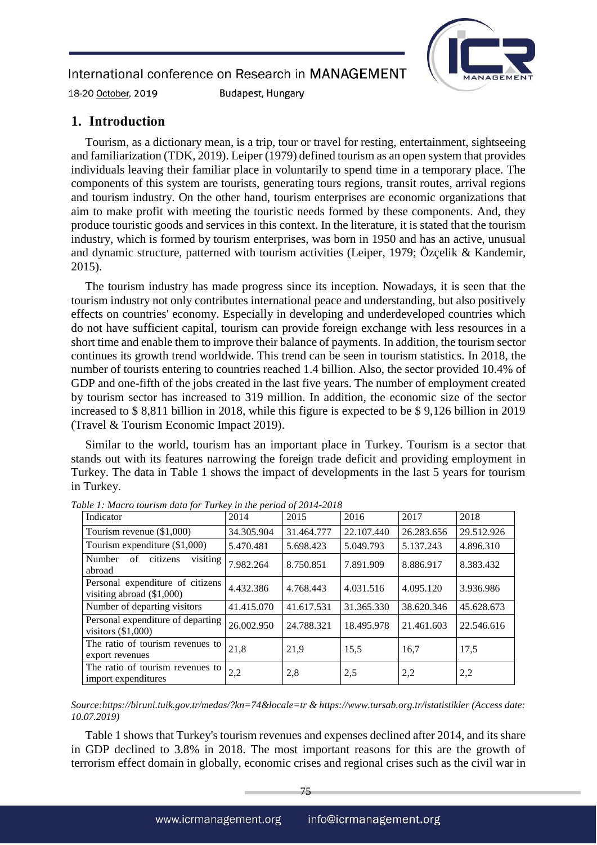**Budapest, Hungary** 



18-20 October, 2019

### **1. Introduction**

Tourism, as a dictionary mean, is a trip, tour or travel for resting, entertainment, sightseeing and familiarization (TDK, 2019). Leiper (1979) defined tourism as an open system that provides individuals leaving their familiar place in voluntarily to spend time in a temporary place. The components of this system are tourists, generating tours regions, transit routes, arrival regions and tourism industry. On the other hand, tourism enterprises are economic organizations that aim to make profit with meeting the touristic needs formed by these components. And, they produce touristic goods and services in this context. In the literature, it is stated that the tourism industry, which is formed by tourism enterprises, was born in 1950 and has an active, unusual and dynamic structure, patterned with tourism activities (Leiper, 1979; Özçelik & Kandemir, 2015).

The tourism industry has made progress since its inception. Nowadays, it is seen that the tourism industry not only contributes international peace and understanding, but also positively effects on countries' economy. Especially in developing and underdeveloped countries which do not have sufficient capital, tourism can provide foreign exchange with less resources in a short time and enable them to improve their balance of payments. In addition, the tourism sector continues its growth trend worldwide. This trend can be seen in tourism statistics. In 2018, the number of tourists entering to countries reached 1.4 billion. Also, the sector provided 10.4% of GDP and one-fifth of the jobs created in the last five years. The number of employment created by tourism sector has increased to 319 million. In addition, the economic size of the sector increased to \$ 8,811 billion in 2018, while this figure is expected to be \$ 9,126 billion in 2019 (Travel & Tourism Economic Impact 2019).

Similar to the world, tourism has an important place in Turkey. Tourism is a sector that stands out with its features narrowing the foreign trade deficit and providing employment in Turkey. The data in Table 1 shows the impact of developments in the last 5 years for tourism in Turkey.

| Indicator                                                       | 2014       | 2015       | 2016       | 2017       | 2018       |
|-----------------------------------------------------------------|------------|------------|------------|------------|------------|
| Tourism revenue $(\$1,000)$                                     | 34.305.904 | 31.464.777 | 22.107.440 | 26.283.656 | 29.512.926 |
| Tourism expenditure $(\$1,000)$                                 | 5.470.481  | 5.698.423  | 5.049.793  | 5.137.243  | 4.896.310  |
| visiting<br>citizens<br>Number<br>of<br>abroad                  | 7.982.264  | 8.750.851  | 7.891.909  | 8.886.917  | 8.383.432  |
| Personal expenditure of citizens<br>visiting abroad $(\$1,000)$ | 4.432.386  | 4.768.443  | 4.031.516  | 4.095.120  | 3.936.986  |
| Number of departing visitors                                    | 41.415.070 | 41.617.531 | 31.365.330 | 38.620.346 | 45.628.673 |
| Personal expenditure of departing<br>visitors $(\$1,000)$       | 26.002.950 | 24.788.321 | 18.495.978 | 21.461.603 | 22.546.616 |
| The ratio of tourism revenues to<br>export revenues             | 21,8       | 21,9       | 15,5       | 16,7       | 17,5       |
| The ratio of tourism revenues to<br>import expenditures         | 2,2        | 2,8        | 2,5        | 2,2        | 2,2        |

*Table 1: Macro tourism data for Turkey in the period of 2014-2018*

*Source:https://biruni.tuik.gov.tr/medas/?kn=74&locale=tr & https://www.tursab.org.tr/istatistikler (Access date: 10.07.2019)*

Table 1 shows that Turkey's tourism revenues and expenses declined after 2014, and its share in GDP declined to 3.8% in 2018. The most important reasons for this are the growth of terrorism effect domain in globally, economic crises and regional crises such as the civil war in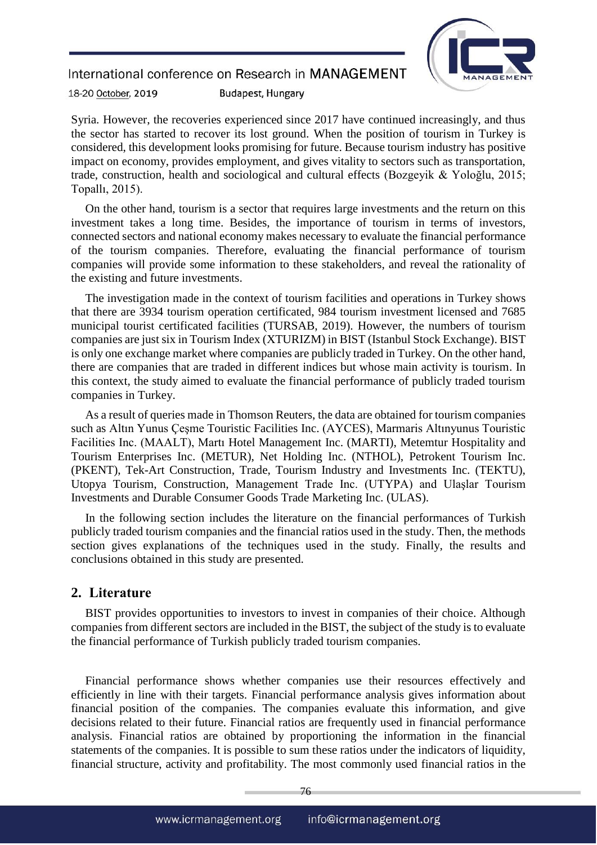

18-20 October, 2019 **Budapest, Hungary** 

Syria. However, the recoveries experienced since 2017 have continued increasingly, and thus the sector has started to recover its lost ground. When the position of tourism in Turkey is considered, this development looks promising for future. Because tourism industry has positive impact on economy, provides employment, and gives vitality to sectors such as transportation, trade, construction, health and sociological and cultural effects (Bozgeyik & Yoloğlu, 2015; Topallı, 2015).

On the other hand, tourism is a sector that requires large investments and the return on this investment takes a long time. Besides, the importance of tourism in terms of investors, connected sectors and national economy makes necessary to evaluate the financial performance of the tourism companies. Therefore, evaluating the financial performance of tourism companies will provide some information to these stakeholders, and reveal the rationality of the existing and future investments.

The investigation made in the context of tourism facilities and operations in Turkey shows that there are 3934 tourism operation certificated, 984 tourism investment licensed and 7685 municipal tourist certificated facilities (TURSAB, 2019). However, the numbers of tourism companies are just six in Tourism Index (XTURIZM) in BIST (Istanbul Stock Exchange). BIST is only one exchange market where companies are publicly traded in Turkey. On the other hand, there are companies that are traded in different indices but whose main activity is tourism. In this context, the study aimed to evaluate the financial performance of publicly traded tourism companies in Turkey.

As a result of queries made in Thomson Reuters, the data are obtained for tourism companies such as Altın Yunus Çeşme Touristic Facilities Inc. (AYCES), Marmaris Altınyunus Touristic Facilities Inc. (MAALT), Martı Hotel Management Inc. (MARTI), Metemtur Hospitality and Tourism Enterprises Inc. (METUR), Net Holding Inc. (NTHOL), Petrokent Tourism Inc. (PKENT), Tek-Art Construction, Trade, Tourism Industry and Investments Inc. (TEKTU), Utopya Tourism, Construction, Management Trade Inc. (UTYPA) and Ulaşlar Tourism Investments and Durable Consumer Goods Trade Marketing Inc. (ULAS).

In the following section includes the literature on the financial performances of Turkish publicly traded tourism companies and the financial ratios used in the study. Then, the methods section gives explanations of the techniques used in the study. Finally, the results and conclusions obtained in this study are presented.

#### **2. Literature**

BIST provides opportunities to investors to invest in companies of their choice. Although companies from different sectors are included in the BIST, the subject of the study is to evaluate the financial performance of Turkish publicly traded tourism companies.

Financial performance shows whether companies use their resources effectively and efficiently in line with their targets. Financial performance analysis gives information about financial position of the companies. The companies evaluate this information, and give decisions related to their future. Financial ratios are frequently used in financial performance analysis. Financial ratios are obtained by proportioning the information in the financial statements of the companies. It is possible to sum these ratios under the indicators of liquidity, financial structure, activity and profitability. The most commonly used financial ratios in the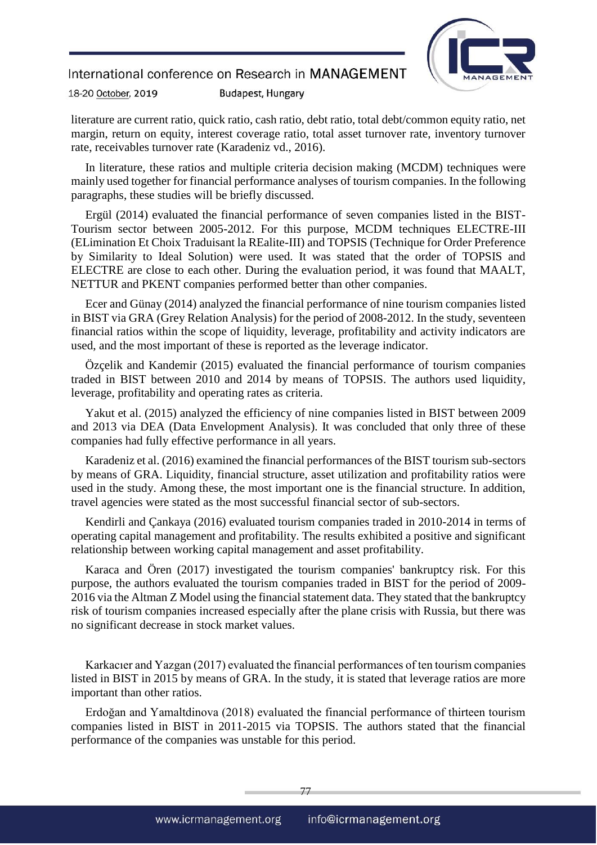

18-20 October, 2019 **Budapest, Hungary** 

literature are current ratio, quick ratio, cash ratio, debt ratio, total debt/common equity ratio, net margin, return on equity, interest coverage ratio, total asset turnover rate, inventory turnover rate, receivables turnover rate (Karadeniz vd., 2016).

In literature, these ratios and multiple criteria decision making (MCDM) techniques were mainly used together for financial performance analyses of tourism companies. In the following paragraphs, these studies will be briefly discussed.

Ergül (2014) evaluated the financial performance of seven companies listed in the BIST-Tourism sector between 2005-2012. For this purpose, MCDM techniques ELECTRE-III (ELimination Et Choix Traduisant la REalite-III) and TOPSIS (Technique for Order Preference by Similarity to Ideal Solution) were used. It was stated that the order of TOPSIS and ELECTRE are close to each other. During the evaluation period, it was found that MAALT, NETTUR and PKENT companies performed better than other companies.

Ecer and Günay (2014) analyzed the financial performance of nine tourism companies listed in BIST via GRA (Grey Relation Analysis) for the period of 2008-2012. In the study, seventeen financial ratios within the scope of liquidity, leverage, profitability and activity indicators are used, and the most important of these is reported as the leverage indicator.

Özçelik and Kandemir (2015) evaluated the financial performance of tourism companies traded in BIST between 2010 and 2014 by means of TOPSIS. The authors used liquidity, leverage, profitability and operating rates as criteria.

Yakut et al. (2015) analyzed the efficiency of nine companies listed in BIST between 2009 and 2013 via DEA (Data Envelopment Analysis). It was concluded that only three of these companies had fully effective performance in all years.

Karadeniz et al. (2016) examined the financial performances of the BIST tourism sub-sectors by means of GRA. Liquidity, financial structure, asset utilization and profitability ratios were used in the study. Among these, the most important one is the financial structure. In addition, travel agencies were stated as the most successful financial sector of sub-sectors.

Kendirli and Çankaya (2016) evaluated tourism companies traded in 2010-2014 in terms of operating capital management and profitability. The results exhibited a positive and significant relationship between working capital management and asset profitability.

Karaca and Ören (2017) investigated the tourism companies' bankruptcy risk. For this purpose, the authors evaluated the tourism companies traded in BIST for the period of 2009- 2016 via the Altman Z Model using the financial statement data. They stated that the bankruptcy risk of tourism companies increased especially after the plane crisis with Russia, but there was no significant decrease in stock market values.

Karkacıer and Yazgan (2017) evaluated the financial performances of ten tourism companies listed in BIST in 2015 by means of GRA. In the study, it is stated that leverage ratios are more important than other ratios.

Erdoğan and Yamaltdinova (2018) evaluated the financial performance of thirteen tourism companies listed in BIST in 2011-2015 via TOPSIS. The authors stated that the financial performance of the companies was unstable for this period.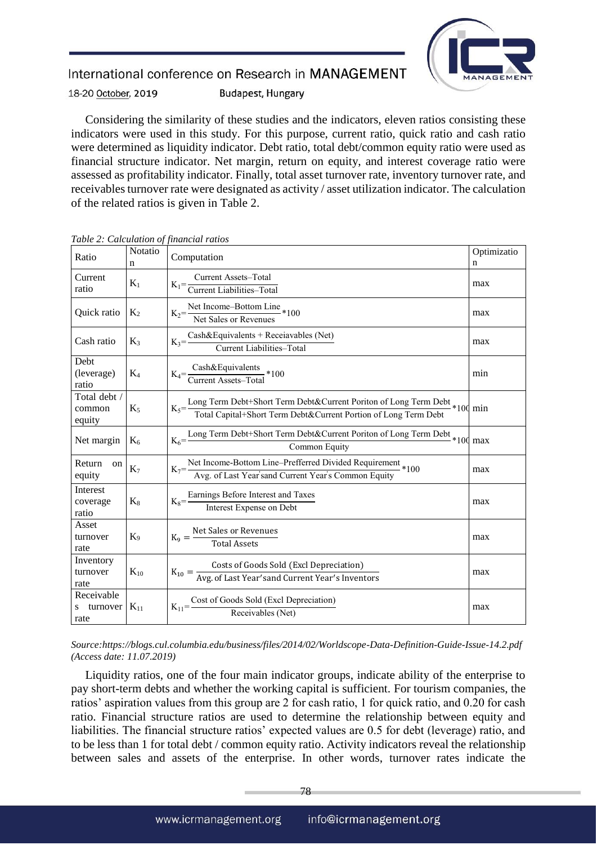

18-20 October, 2019 **Budapest, Hungary** 

Considering the similarity of these studies and the indicators, eleven ratios consisting these indicators were used in this study. For this purpose, current ratio, quick ratio and cash ratio were determined as liquidity indicator. Debt ratio, total debt/common equity ratio were used as financial structure indicator. Net margin, return on equity, and interest coverage ratio were assessed as profitability indicator. Finally, total asset turnover rate, inventory turnover rate, and receivables turnover rate were designated as activity / asset utilization indicator. The calculation of the related ratios is given in Table 2.

| Ratio                               | Notatio<br>n   | Optimizatio<br>Computation<br>n                                                                                                                                         |     |  |  |
|-------------------------------------|----------------|-------------------------------------------------------------------------------------------------------------------------------------------------------------------------|-----|--|--|
| Current<br>ratio                    | $K_1$          | $K_1 = \frac{Current\,\,Assets - Total}{Current\,\, Liabilities - Total}$<br>max                                                                                        |     |  |  |
| Quick ratio                         | $K_2$          | $K_2$ = Net Income–Bottom Line<br>Net Sales or Revenues *100                                                                                                            | max |  |  |
| Cash ratio                          | $K_3$          | $K_3 = \frac{Cash&Equivalents + Receiavables (Net)}{Current Liabilities - Total}$                                                                                       | max |  |  |
| Debt<br>(leverage)<br>ratio         | $K_4$          | $K_4 = \frac{Cash&Equivalents}{Current\, Assets - Total} * 100$                                                                                                         | min |  |  |
| Total debt /<br>common<br>equity    | $K_5$          | $K_5 = \frac{\text{Long Term Debt+Short Term Debt&Current Position of Long Term Debt}}{\text{Total Capital+Short Term Debt&Current Portfolio of Long Term Debt}} * 100$ |     |  |  |
| Net margin                          | $K_6$          | $K_6 = \frac{\text{Long Term Debt+Short Term Debt&Current Portfolio of Long Term Debt}}{\text{max}} * 100 \text{ max}$<br>Common Equity                                 |     |  |  |
| Return<br>on<br>equity              | K <sub>7</sub> | $K_7 = \frac{\text{Net Income-Bottom Line-Perfect Divided Required}}{\text{Avg. of Last Year's and Current Year's Common Equity}} * 100$                                | max |  |  |
| Interest<br>coverage<br>ratio       | $K_8$          | $K_8 = \frac{\text{Earnings Before Interest and Taxes}}{\text{Interest Expression}}$                                                                                    | max |  |  |
| Asset<br>turnover<br>rate           | $K_9$          | $K_9 = \frac{\text{Net Sales or Revenues}}{\text{Total Assets}}$                                                                                                        | max |  |  |
| Inventory<br>turnover<br>rate       | $K_{10}$       | $K_{10} = \frac{\text{Costs of Goods Sold (Excl Depreciation)}}{\text{Avg. of Last Year'sand Current Year's Inventors}}$                                                | max |  |  |
| Receivable<br>turnover<br>S<br>rate | $K_{11}$       | $K_{11}$ = Cost of Goods Sold (Excl Depreciation)<br>Receivables (Net)                                                                                                  | max |  |  |

*Table 2: Calculation of financial ratios*

*Source:https://blogs.cul.columbia.edu/business/files/2014/02/Worldscope-Data-Definition-Guide-Issue-14.2.pdf (Access date: 11.07.2019)*

Liquidity ratios, one of the four main indicator groups, indicate ability of the enterprise to pay short-term debts and whether the working capital is sufficient. For tourism companies, the ratios' aspiration values from this group are 2 for cash ratio, 1 for quick ratio, and 0.20 for cash ratio. Financial structure ratios are used to determine the relationship between equity and liabilities. The financial structure ratios' expected values are 0.5 for debt (leverage) ratio, and to be less than 1 for total debt / common equity ratio. Activity indicators reveal the relationship between sales and assets of the enterprise. In other words, turnover rates indicate the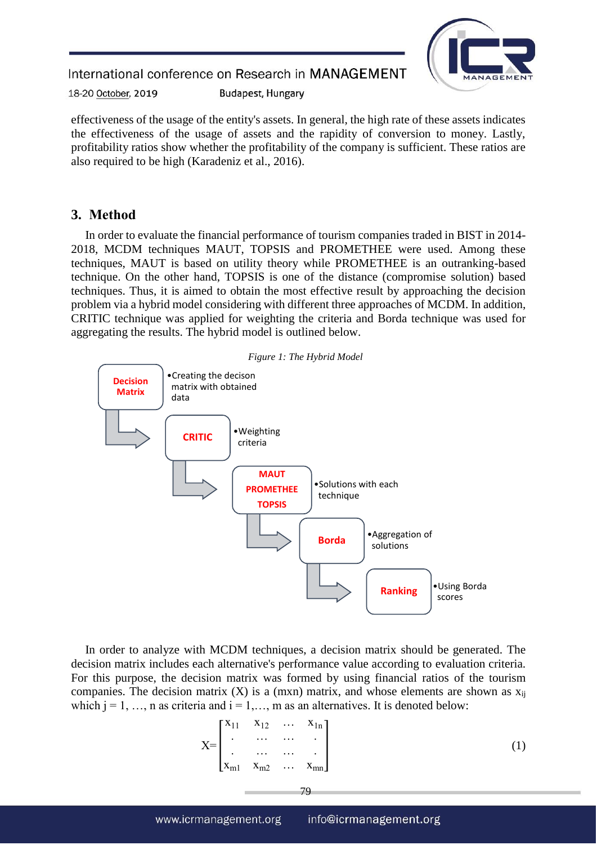

18-20 October, 2019 **Budapest, Hungary** 

effectiveness of the usage of the entity's assets. In general, the high rate of these assets indicates the effectiveness of the usage of assets and the rapidity of conversion to money. Lastly, profitability ratios show whether the profitability of the company is sufficient. These ratios are also required to be high (Karadeniz et al., 2016).

# **3. Method**

In order to evaluate the financial performance of tourism companies traded in BIST in 2014- 2018, MCDM techniques MAUT, TOPSIS and PROMETHEE were used. Among these techniques, MAUT is based on utility theory while PROMETHEE is an outranking-based technique. On the other hand, TOPSIS is one of the distance (compromise solution) based techniques. Thus, it is aimed to obtain the most effective result by approaching the decision problem via a hybrid model considering with different three approaches of MCDM. In addition, CRITIC technique was applied for weighting the criteria and Borda technique was used for aggregating the results. The hybrid model is outlined below.



In order to analyze with MCDM techniques, a decision matrix should be generated. The decision matrix includes each alternative's performance value according to evaluation criteria. For this purpose, the decision matrix was formed by using financial ratios of the tourism companies. The decision matrix  $(X)$  is a (mxn) matrix, and whose elements are shown as  $x_{ii}$ which  $j = 1, \ldots, n$  as criteria and  $i = 1, \ldots, m$  as an alternatives. It is denoted below:

$$
X = \begin{bmatrix} x_{11} & x_{12} & \dots & x_{1n} \\ \vdots & \vdots & \ddots & \vdots \\ x_{m1} & x_{m2} & \dots & x_{mn} \end{bmatrix}
$$
 (1)

79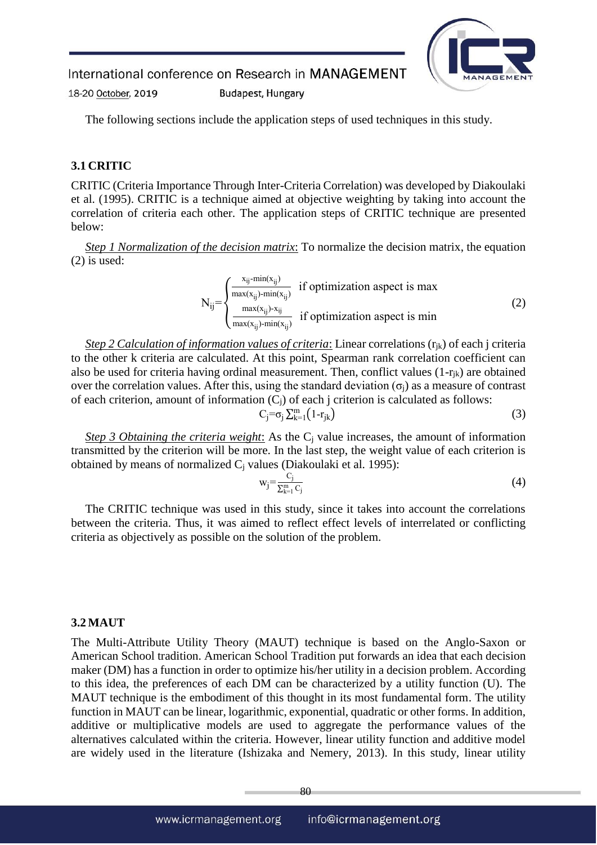**Budapest, Hungary** 



18-20 October, 2019

The following sections include the application steps of used techniques in this study.

### **3.1 CRITIC**

CRITIC (Criteria Importance Through Inter-Criteria Correlation) was developed by Diakoulaki et al. (1995). CRITIC is a technique aimed at objective weighting by taking into account the correlation of criteria each other. The application steps of CRITIC technique are presented below:

*Step 1 Normalization of the decision matrix*: To normalize the decision matrix, the equation (2) is used:

$$
N_{ij} = \begin{cases} \frac{x_{ij} - \min(x_{ij})}{\max(x_{ij}) - \min(x_{ij})} & \text{if optimization aspect is max} \\ \frac{\max(x_{ij}) - x_{ij}}{\max(x_{ij}) - \min(x_{ij})} & \text{if optimization aspect is min} \end{cases}
$$
(2)

*Step 2 Calculation of information values of criteria*: Linear correlations (rjk) of each j criteria to the other k criteria are calculated. At this point, Spearman rank correlation coefficient can also be used for criteria having ordinal measurement. Then, conflict values  $(1-r_{ik})$  are obtained over the correlation values. After this, using the standard deviation  $(\sigma_i)$  as a measure of contrast of each criterion, amount of information  $(C_i)$  of each j criterion is calculated as follows:

$$
C_j = \sigma_j \sum_{k=1}^m (1 - r_{jk})
$$
 (3)

*Step 3 Obtaining the criteria weight*: As the C<sub>i</sub> value increases, the amount of information transmitted by the criterion will be more. In the last step, the weight value of each criterion is obtained by means of normalized  $C_i$  values (Diakoulaki et al. 1995):

$$
w_j = \frac{C_j}{\sum_{k=1}^m C_j} \tag{4}
$$

The CRITIC technique was used in this study, since it takes into account the correlations between the criteria. Thus, it was aimed to reflect effect levels of interrelated or conflicting criteria as objectively as possible on the solution of the problem.

#### **3.2 MAUT**

The Multi-Attribute Utility Theory (MAUT) technique is based on the Anglo-Saxon or American School tradition. American School Tradition put forwards an idea that each decision maker (DM) has a function in order to optimize his/her utility in a decision problem. According to this idea, the preferences of each DM can be characterized by a utility function (U). The MAUT technique is the embodiment of this thought in its most fundamental form. The utility function in MAUT can be linear, logarithmic, exponential, quadratic or other forms. In addition, additive or multiplicative models are used to aggregate the performance values of the alternatives calculated within the criteria. However, linear utility function and additive model are widely used in the literature (Ishizaka and Nemery, 2013). In this study, linear utility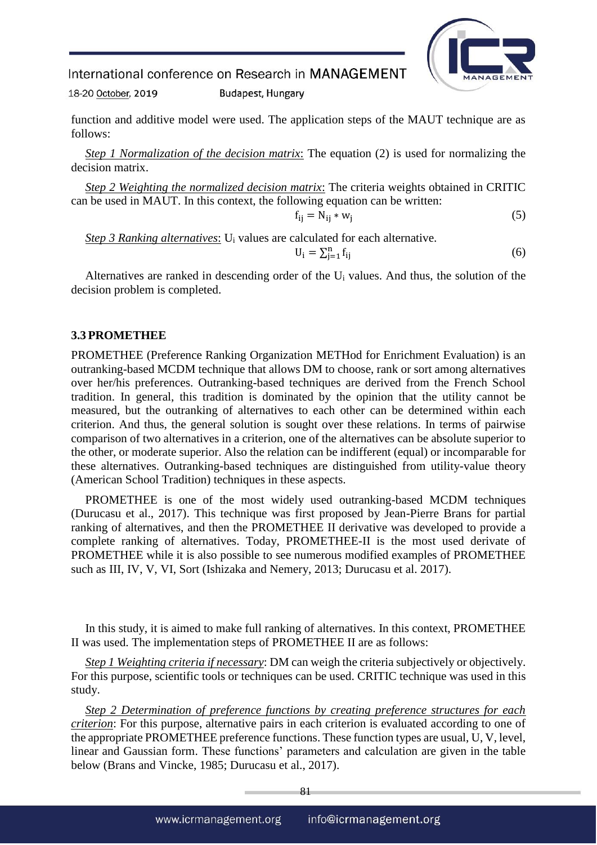

18-20 October, 2019 **Budapest, Hungary** 

function and additive model were used. The application steps of the MAUT technique are as follows:

*Step 1 Normalization of the decision matrix*: The equation (2) is used for normalizing the decision matrix.

*Step 2 Weighting the normalized decision matrix*: The criteria weights obtained in CRITIC can be used in MAUT. In this context, the following equation can be written:

$$
f_{ij} = N_{ij} * w_j \tag{5}
$$

*Step 3 Ranking alternatives*: U<sub>i</sub> values are calculated for each alternative.

$$
U_i = \sum_{j=1}^{n} f_{ij} \tag{6}
$$

Alternatives are ranked in descending order of the U<sup>i</sup> values. And thus, the solution of the decision problem is completed.

#### **3.3 PROMETHEE**

PROMETHEE (Preference Ranking Organization METHod for Enrichment Evaluation) is an outranking-based MCDM technique that allows DM to choose, rank or sort among alternatives over her/his preferences. Outranking-based techniques are derived from the French School tradition. In general, this tradition is dominated by the opinion that the utility cannot be measured, but the outranking of alternatives to each other can be determined within each criterion. And thus, the general solution is sought over these relations. In terms of pairwise comparison of two alternatives in a criterion, one of the alternatives can be absolute superior to the other, or moderate superior. Also the relation can be indifferent (equal) or incomparable for these alternatives. Outranking-based techniques are distinguished from utility-value theory (American School Tradition) techniques in these aspects.

PROMETHEE is one of the most widely used outranking-based MCDM techniques (Durucasu et al., 2017). This technique was first proposed by Jean-Pierre Brans for partial ranking of alternatives, and then the PROMETHEE II derivative was developed to provide a complete ranking of alternatives. Today, PROMETHEE-II is the most used derivate of PROMETHEE while it is also possible to see numerous modified examples of PROMETHEE such as III, IV, V, VI, Sort (Ishizaka and Nemery, 2013; Durucasu et al. 2017).

In this study, it is aimed to make full ranking of alternatives. In this context, PROMETHEE II was used. The implementation steps of PROMETHEE II are as follows:

*Step 1 Weighting criteria if necessary*: DM can weigh the criteria subjectively or objectively. For this purpose, scientific tools or techniques can be used. CRITIC technique was used in this study.

*Step 2 Determination of preference functions by creating preference structures for each criterion*: For this purpose, alternative pairs in each criterion is evaluated according to one of the appropriate PROMETHEE preference functions. These function types are usual, U, V, level, linear and Gaussian form. These functions' parameters and calculation are given in the table below (Brans and Vincke, 1985; Durucasu et al., 2017).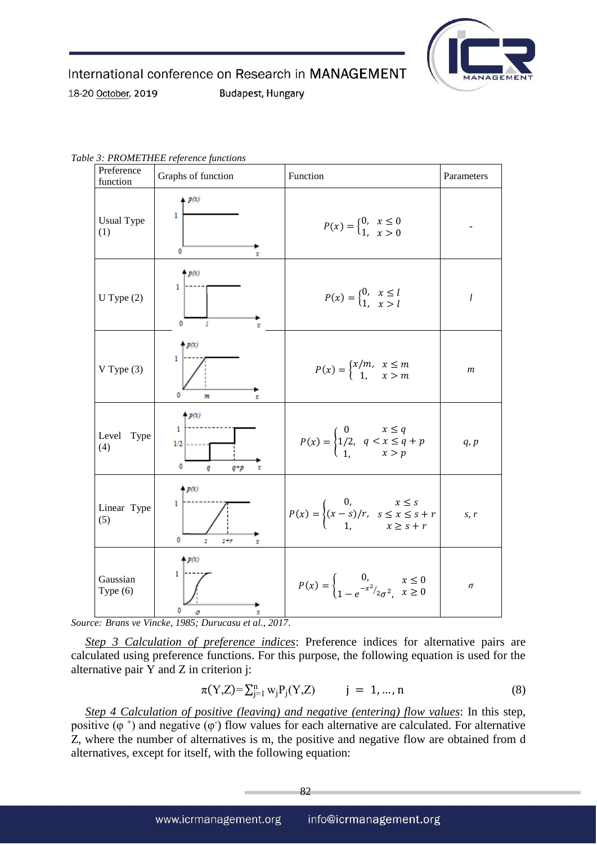

**Budapest, Hungary** 

18-20 October, 2019

Preference<br>function function Graphs of function Function Parameters Usual Type Usual Type  $P(x) = \begin{cases} 0, & \text{if } x \leq 0 \\ 1, & \text{if } x \leq 0 \end{cases}$  $x \leq 0$ *-* 1,  $x > 0$  $\mathbf 0$  $p(x)$ 1 U Type (2)  $\begin{bmatrix} 1 \\ 1 \end{bmatrix}$   $P(x) = \begin{bmatrix} 0 \\ 1 \end{bmatrix}$  $x \leq l$ *l* 1,  $x > l$  $\ddot{\mathbf{0}}$ **p**(x) ī  $x/m$ ,  $x \leq m$  $V$  Type  $(3)$ *m* 1,  $x > m$  $\theta$  $4 p(x)$ 1  $x \leq q$ 0 Level Type  $P(x) = \begin{cases} 4 & 12 \\ 4 & \end{cases}$ 1/2,  $q < x \leq q + p$ *q, p*  $x > p$ 1, 0  $4p(x)$ 0, 1.  $x \leq s$ Linear Type  $\left| \begin{array}{c} P(x) = \\ 0 \end{array} \right|$  $(x - s)/r$ ,  $s \leq x \leq s + r$ *s, r* 1,  $x \geq s + r$  $\ddot{\phantom{0}}$  $n(r)$ 0, Gaussian  $x \leq 0$  $\text{Type (6)} \qquad \qquad \bigg| \qquad \int_{0}^{\infty} \qquad \qquad \bigg| \qquad P(x) = \left\{ \begin{array}{c} \text{P(x)} = \{ \end{array} \right.$ *σ*  $1-e^{-x^2/2\sigma^2}$ ,  $x \geq 0$  $\Omega$  $\sigma$ 

*Table 3: PROMETHEE reference functions*

*Source: Brans ve Vincke, 1985; Durucasu et al., 2017.*

*Step 3 Calculation of preference indices*: Preference indices for alternative pairs are calculated using preference functions. For this purpose, the following equation is used for the alternative pair Y and Z in criterion j:

$$
\pi(Y,Z) = \sum_{j=1}^{n} w_j P_j(Y,Z) \qquad j = 1, ..., n \tag{8}
$$

*Step 4 Calculation of positive (leaving) and negative (entering) flow values*: In this step, positive  $(\varphi^+)$  and negative  $(\varphi^-)$  flow values for each alternative are calculated. For alternative Z, where the number of alternatives is m, the positive and negative flow are obtained from d alternatives, except for itself, with the following equation: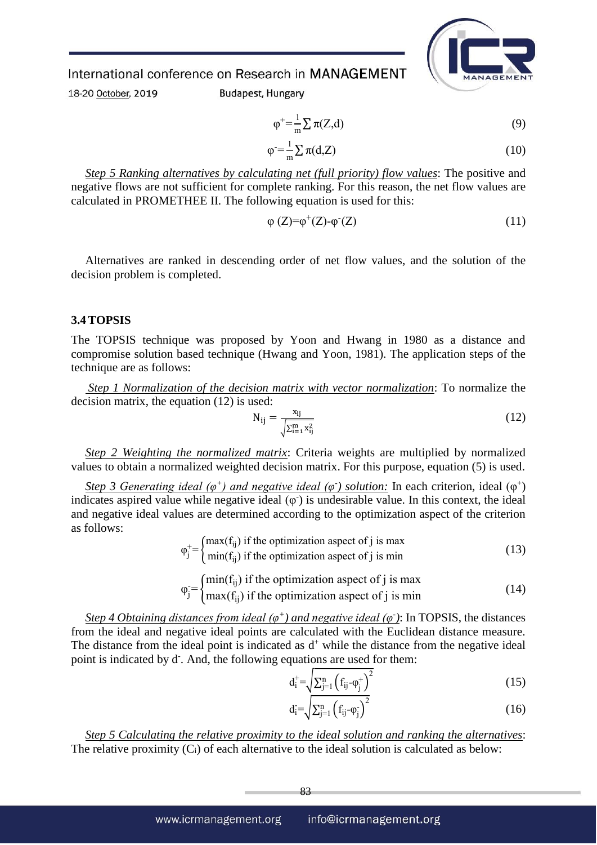

18-20 October, 2019

**Budapest, Hungary** 

$$
\varphi^+ = \frac{1}{m} \sum \pi(Z, d) \tag{9}
$$

$$
\varphi = \frac{1}{m} \sum \pi(d, Z) \tag{10}
$$

*Step 5 Ranking alternatives by calculating net (full priority) flow values*: The positive and negative flows are not sufficient for complete ranking. For this reason, the net flow values are calculated in PROMETHEE II. The following equation is used for this:

$$
\varphi(Z) = \varphi^+(Z) - \varphi^-(Z) \tag{11}
$$

Alternatives are ranked in descending order of net flow values, and the solution of the decision problem is completed.

#### **3.4 TOPSIS**

The TOPSIS technique was proposed by Yoon and Hwang in 1980 as a distance and compromise solution based technique (Hwang and Yoon, 1981). The application steps of the technique are as follows:

*Step 1 Normalization of the decision matrix with vector normalization*: To normalize the decision matrix, the equation (12) is used:

$$
N_{ij} = \frac{x_{ij}}{\sqrt{\sum_{i=1}^{m} x_{ij}^2}}
$$
 (12)

*Step 2 Weighting the normalized matrix*: Criteria weights are multiplied by normalized values to obtain a normalized weighted decision matrix. For this purpose, equation (5) is used.

*Step 3 Generating ideal* ( $\varphi^+$ ) *and negative ideal* ( $\varphi^-$ ) *solution:* In each criterion, ideal ( $\varphi^+$ ) indicates aspired value while negative ideal  $(\varphi)$  is undesirable value. In this context, the ideal and negative ideal values are determined according to the optimization aspect of the criterion as follows:

$$
\varphi_j^+ = \begin{cases} \max(f_{ij}) & \text{if the optimization aspect of } j \text{ is max} \\ \min(f_{ij}) & \text{if the optimization aspect of } j \text{ is min} \end{cases}
$$
 (13)

$$
\varphi_j = \begin{cases} \min(f_{ij}) & \text{if the optimization aspect of } j \text{ is max} \\ \max(f_{ij}) & \text{if the optimization aspect of } j \text{ is min} \end{cases} \tag{14}
$$

*Step 4 Obtaining distances from ideal*  $(\varphi^+)$  *and negative ideal*  $(\varphi)$ : In TOPSIS, the distances from the ideal and negative ideal points are calculated with the Euclidean distance measure. The distance from the ideal point is indicated as  $d^+$  while the distance from the negative ideal point is indicated by d. And, the following equations are used for them:

$$
d_i^+ = \sqrt{\sum_{j=1}^n (f_{ij} - \varphi_j^+)^2}
$$
 (15)

$$
d_i^{\cdot} = \sqrt{\sum_{j=1}^n (f_{ij} - \varphi_j^{\cdot})^2} \tag{16}
$$

*Step 5 Calculating the relative proximity to the ideal solution and ranking the alternatives*: The relative proximity  $(C_i)$  of each alternative to the ideal solution is calculated as below: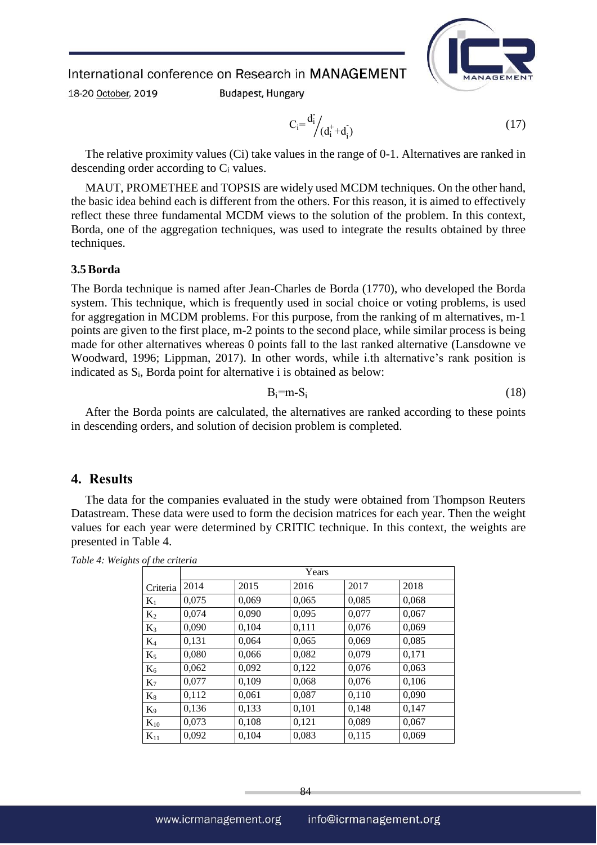18-20 October, 2019

**Budapest, Hungary** 

$$
C_i = \frac{d_i}{d_i} \bigg( d_i^+ + d_i^- \bigg) \tag{17}
$$

The relative proximity values (Ci) take values in the range of 0-1. Alternatives are ranked in descending order according to C<sup>i</sup> values.

MAUT, PROMETHEE and TOPSIS are widely used MCDM techniques. On the other hand, the basic idea behind each is different from the others. For this reason, it is aimed to effectively reflect these three fundamental MCDM views to the solution of the problem. In this context, Borda, one of the aggregation techniques, was used to integrate the results obtained by three techniques.

#### **3.5 Borda**

The Borda technique is named after Jean-Charles de Borda (1770), who developed the Borda system. This technique, which is frequently used in social choice or voting problems, is used for aggregation in MCDM problems. For this purpose, from the ranking of m alternatives, m-1 points are given to the first place, m-2 points to the second place, while similar process is being made for other alternatives whereas 0 points fall to the last ranked alternative (Lansdowne ve Woodward, 1996; Lippman, 2017). In other words, while i.th alternative's rank position is indicated as  $S_i$ , Borda point for alternative i is obtained as below:

$$
B_i = m - S_i \tag{18}
$$

After the Borda points are calculated, the alternatives are ranked according to these points in descending orders, and solution of decision problem is completed.

#### **4. Results**

The data for the companies evaluated in the study were obtained from Thompson Reuters Datastream. These data were used to form the decision matrices for each year. Then the weight values for each year were determined by CRITIC technique. In this context, the weights are presented in Table 4.

|          | Years |       |       |       |       |  |  |
|----------|-------|-------|-------|-------|-------|--|--|
| Criteria | 2014  | 2015  | 2016  | 2017  | 2018  |  |  |
| $K_1$    | 0,075 | 0,069 | 0,065 | 0,085 | 0,068 |  |  |
| $K_2$    | 0,074 | 0,090 | 0,095 | 0,077 | 0,067 |  |  |
| $K_3$    | 0,090 | 0,104 | 0,111 | 0,076 | 0,069 |  |  |
| $K_4$    | 0,131 | 0,064 | 0,065 | 0,069 | 0,085 |  |  |
| $K_5$    | 0,080 | 0,066 | 0,082 | 0,079 | 0,171 |  |  |
| $K_6$    | 0,062 | 0,092 | 0,122 | 0,076 | 0,063 |  |  |
| $K_7$    | 0,077 | 0,109 | 0,068 | 0,076 | 0,106 |  |  |
| $K_8$    | 0,112 | 0,061 | 0,087 | 0,110 | 0,090 |  |  |
| $K_9$    | 0,136 | 0,133 | 0,101 | 0,148 | 0,147 |  |  |
| $K_{10}$ | 0,073 | 0,108 | 0,121 | 0,089 | 0,067 |  |  |
| $K_{11}$ | 0,092 | 0,104 | 0,083 | 0,115 | 0,069 |  |  |

*Table 4: Weights of the criteria*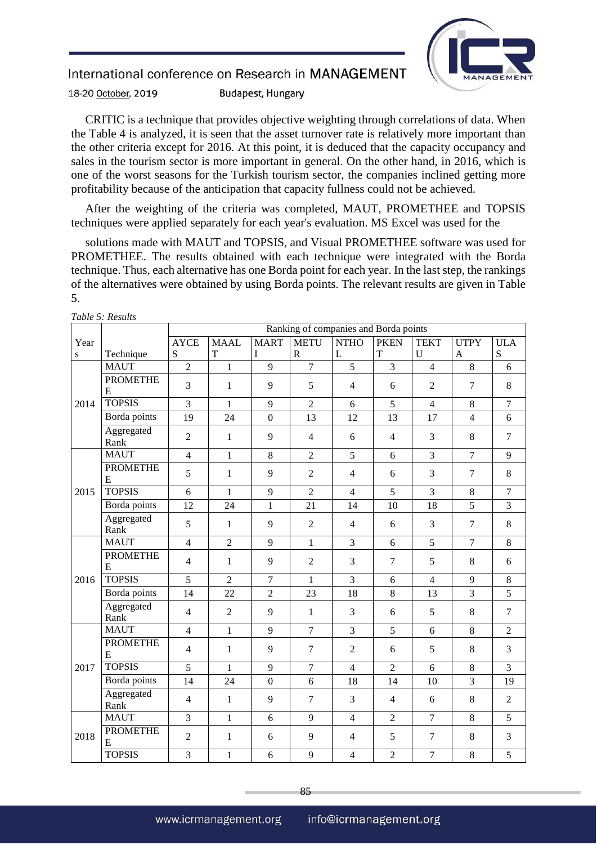

18-20 October, 2019 **Budapest, Hungary** 

CRITIC is a technique that provides objective weighting through correlations of data. When the Table 4 is analyzed, it is seen that the asset turnover rate is relatively more important than the other criteria except for 2016. At this point, it is deduced that the capacity occupancy and sales in the tourism sector is more important in general. On the other hand, in 2016, which is one of the worst seasons for the Turkish tourism sector, the companies inclined getting more profitability because of the anticipation that capacity fullness could not be achieved.

After the weighting of the criteria was completed, MAUT, PROMETHEE and TOPSIS techniques were applied separately for each year's evaluation. MS Excel was used for the

solutions made with MAUT and TOPSIS, and Visual PROMETHEE software was used for PROMETHEE. The results obtained with each technique were integrated with the Borda technique. Thus, each alternative has one Borda point for each year. In the last step, the rankings of the alternatives were obtained by using Borda points. The relevant results are given in Table 5.

|      |                      | Ranking of companies and Borda points |                |                  |                |                |                |                |                |                |
|------|----------------------|---------------------------------------|----------------|------------------|----------------|----------------|----------------|----------------|----------------|----------------|
| Year |                      | <b>AYCE</b>                           | <b>MAAL</b>    | <b>MART</b>      | <b>METU</b>    | <b>NTHO</b>    | <b>PKEN</b>    | <b>TEKT</b>    | <b>UTPY</b>    | <b>ULA</b>     |
| S    | Technique            | S                                     | T              | I                | $\mathbb{R}$   | L              | $\mathbf T$    | $\mathbf U$    | A              | S              |
|      | <b>MAUT</b>          | $\overline{2}$                        | 1              | 9                | $\overline{7}$ | $\overline{5}$ | $\overline{3}$ | $\overline{4}$ | 8              | 6              |
|      | <b>PROMETHE</b><br>E | 3                                     | 1              | 9                | 5              | $\overline{4}$ | 6              | $\overline{2}$ | $\overline{7}$ | 8              |
| 2014 | <b>TOPSIS</b>        | $\overline{3}$                        | $\mathbf{1}$   | 9                | $\overline{2}$ | 6              | 5              | $\overline{4}$ | 8              | $\overline{7}$ |
|      | Borda points         | 19                                    | 24             | $\boldsymbol{0}$ | 13             | 12             | 13             | 17             | $\overline{4}$ | 6              |
|      | Aggregated<br>Rank   | $\overline{2}$                        | $\mathbf{1}$   | 9                | $\overline{4}$ | 6              | $\overline{4}$ | 3              | 8              | $\overline{7}$ |
|      | <b>MAUT</b>          | $\overline{4}$                        | $\mathbf{1}$   | 8                | $\overline{2}$ | 5              | 6              | 3              | $\overline{7}$ | 9              |
|      | <b>PROMETHE</b><br>E | 5                                     | $\mathbf{1}$   | 9                | $\overline{2}$ | $\overline{4}$ | 6              | 3              | $\overline{7}$ | 8              |
| 2015 | <b>TOPSIS</b>        | 6                                     | $\mathbf{1}$   | 9                | $\overline{2}$ | $\overline{4}$ | 5              | $\overline{3}$ | 8              | $\overline{7}$ |
|      | Borda points         | 12                                    | 24             | $\mathbf{1}$     | 21             | 14             | 10             | 18             | 5              | 3              |
|      | Aggregated<br>Rank   | 5                                     | 1              | 9                | $\overline{2}$ | $\overline{4}$ | 6              | 3              | $\overline{7}$ | 8              |
| 2016 | <b>MAUT</b>          | $\overline{4}$                        | $\overline{2}$ | 9                | $\mathbf{1}$   | 3              | 6              | 5              | $\overline{7}$ | 8              |
|      | <b>PROMETHE</b><br>E | $\overline{4}$                        | 1              | 9                | $\overline{2}$ | 3              | $\overline{7}$ | 5              | 8              | 6              |
|      | <b>TOPSIS</b>        | 5                                     | $\overline{2}$ | $\overline{7}$   | $\mathbf{1}$   | 3              | 6              | $\overline{4}$ | 9              | 8              |
|      | Borda points         | 14                                    | 22             | $\overline{2}$   | 23             | 18             | 8              | 13             | $\overline{3}$ | 5              |
|      | Aggregated<br>Rank   | $\overline{4}$                        | $\overline{2}$ | 9                | $\mathbf{1}$   | 3              | 6              | 5              | 8              | $\overline{7}$ |
| 2017 | <b>MAUT</b>          | $\overline{4}$                        | $\mathbf{1}$   | 9                | $\overline{7}$ | 3              | 5              | 6              | 8              | $\overline{2}$ |
|      | <b>PROMETHE</b><br>E | $\overline{4}$                        | $\mathbf{1}$   | 9                | $\overline{7}$ | $\overline{2}$ | 6              | 5              | $8\,$          | 3              |
|      | <b>TOPSIS</b>        | 5                                     | $\mathbf{1}$   | 9                | $\overline{7}$ | $\overline{4}$ | $\overline{2}$ | 6              | 8              | 3              |
|      | Borda points         | 14                                    | 24             | $\overline{0}$   | 6              | 18             | 14             | 10             | 3              | 19             |
|      | Aggregated<br>Rank   | $\overline{4}$                        | $\mathbf{1}$   | 9                | $\overline{7}$ | 3              | $\overline{4}$ | 6              | 8              | $\overline{2}$ |
|      | <b>MAUT</b>          | $\overline{3}$                        | $\mathbf{1}$   | 6                | 9              | $\overline{4}$ | $\overline{2}$ | $\overline{7}$ | 8              | 5              |
| 2018 | <b>PROMETHE</b><br>E | $\overline{2}$                        | 1              | 6                | 9              | $\overline{4}$ | 5              | $\tau$         | 8              | $\overline{3}$ |
|      | <b>TOPSIS</b>        | $\overline{3}$                        | $\mathbf{1}$   | 6                | 9              | $\overline{4}$ | $\overline{2}$ | $\overline{7}$ | $\,8\,$        | 5              |

*Table 5: Results*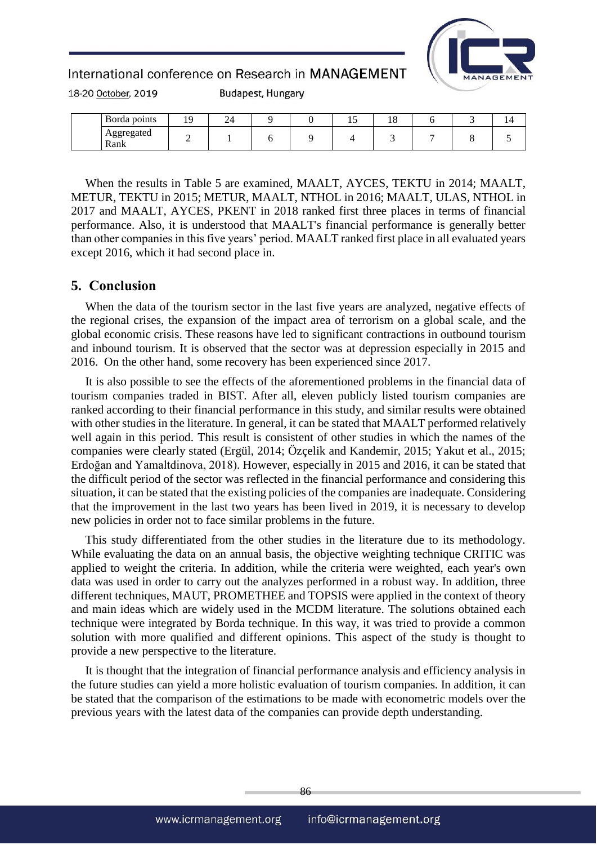

18-20 October, 2019

**Budapest, Hungary** 

| Borda points       |   | ∠ |  | 1 J | 10 |  | $\overline{ }$ |
|--------------------|---|---|--|-----|----|--|----------------|
| Aggregated<br>Rank | - |   |  |     |    |  |                |

When the results in Table 5 are examined, MAALT, AYCES, TEKTU in 2014; MAALT, METUR, TEKTU in 2015; METUR, MAALT, NTHOL in 2016; MAALT, ULAS, NTHOL in 2017 and MAALT, AYCES, PKENT in 2018 ranked first three places in terms of financial performance. Also, it is understood that MAALT's financial performance is generally better than other companies in this five years' period. MAALT ranked first place in all evaluated years except 2016, which it had second place in.

### **5. Conclusion**

When the data of the tourism sector in the last five years are analyzed, negative effects of the regional crises, the expansion of the impact area of terrorism on a global scale, and the global economic crisis. These reasons have led to significant contractions in outbound tourism and inbound tourism. It is observed that the sector was at depression especially in 2015 and 2016. On the other hand, some recovery has been experienced since 2017.

It is also possible to see the effects of the aforementioned problems in the financial data of tourism companies traded in BIST. After all, eleven publicly listed tourism companies are ranked according to their financial performance in this study, and similar results were obtained with other studies in the literature. In general, it can be stated that MAALT performed relatively well again in this period. This result is consistent of other studies in which the names of the companies were clearly stated (Ergül, 2014; Özçelik and Kandemir, 2015; Yakut et al., 2015; Erdoğan and Yamaltdinova, 2018). However, especially in 2015 and 2016, it can be stated that the difficult period of the sector was reflected in the financial performance and considering this situation, it can be stated that the existing policies of the companies are inadequate. Considering that the improvement in the last two years has been lived in 2019, it is necessary to develop new policies in order not to face similar problems in the future.

This study differentiated from the other studies in the literature due to its methodology. While evaluating the data on an annual basis, the objective weighting technique CRITIC was applied to weight the criteria. In addition, while the criteria were weighted, each year's own data was used in order to carry out the analyzes performed in a robust way. In addition, three different techniques, MAUT, PROMETHEE and TOPSIS were applied in the context of theory and main ideas which are widely used in the MCDM literature. The solutions obtained each technique were integrated by Borda technique. In this way, it was tried to provide a common solution with more qualified and different opinions. This aspect of the study is thought to provide a new perspective to the literature.

It is thought that the integration of financial performance analysis and efficiency analysis in the future studies can yield a more holistic evaluation of tourism companies. In addition, it can be stated that the comparison of the estimations to be made with econometric models over the previous years with the latest data of the companies can provide depth understanding.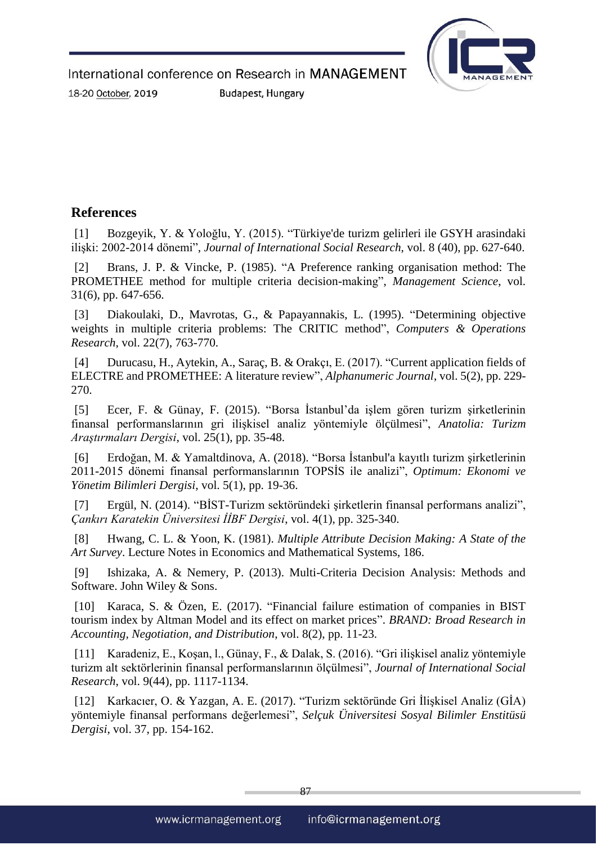

18-20 October, 2019

**Budapest, Hungary** 

# **References**

[1] Bozgeyik, Y. & Yoloğlu, Y. (2015). "Türkiye'de turizm gelirleri ile GSYH arasindaki ilişki: 2002-2014 dönemi", *Journal of International Social Research,* vol. 8 (40), pp. 627-640.

[2] Brans, J. P. & Vincke, P. (1985). "A Preference ranking organisation method: The PROMETHEE method for multiple criteria decision-making", *Management Science*, vol. 31(6), pp. 647-656.

[3] Diakoulaki, D., Mavrotas, G., & Papayannakis, L. (1995). "Determining objective weights in multiple criteria problems: The CRITIC method", *Computers & Operations Research*, vol. 22(7), 763-770.

[4] Durucasu, H., Aytekin, A., Saraç, B. & Orakçı, E. (2017). "Current application fields of ELECTRE and PROMETHEE: A literature review", *Alphanumeric Journal*, vol. 5(2), pp. 229- 270.

[5] Ecer, F. & Günay, F. (2015). "Borsa İstanbul'da işlem gören turizm şirketlerinin finansal performanslarının gri ilişkisel analiz yöntemiyle ölçülmesi", *Anatolia: Turizm Araştırmaları Dergisi*, vol. 25(1), pp. 35-48.

[6] Erdoğan, M. & Yamaltdinova, A. (2018). "Borsa İstanbul'a kayıtlı turizm şirketlerinin 2011-2015 dönemi finansal performanslarının TOPSİS ile analizi", *Optimum: Ekonomi ve Yönetim Bilimleri Dergisi*, vol. 5(1), pp. 19-36.

[7] Ergül, N. (2014). "BİST-Turizm sektöründeki şirketlerin finansal performans analizi", *Çankırı Karatekin Üniversitesi İİBF Dergisi*, vol. 4(1), pp. 325-340.

[8] Hwang, C. L. & Yoon, K. (1981). *Multiple Attribute Decision Making: A State of the Art Survey*. Lecture Notes in Economics and Mathematical Systems, 186.

[9] Ishizaka, A. & Nemery, P. (2013). Multi-Criteria Decision Analysis: Methods and Software. John Wiley & Sons.

[10] Karaca, S. & Özen, E. (2017). "Financial failure estimation of companies in BIST tourism index by Altman Model and its effect on market prices". *BRAND: Broad Research in Accounting, Negotiation, and Distribution*, vol. 8(2), pp. 11-23.

[11] Karadeniz, E., Koşan, l., Günay, F., & Dalak, S. (2016). "Gri ilişkisel analiz yöntemiyle turizm alt sektörlerinin finansal performanslarının ölçülmesi", *Journal of International Social Research*, vol. 9(44), pp. 1117-1134.

[12] Karkacıer, O. & Yazgan, A. E. (2017). "Turizm sektöründe Gri İlişkisel Analiz (GİA) yöntemiyle finansal performans değerlemesi", *Selçuk Üniversitesi Sosyal Bilimler Enstitüsü Dergisi*, vol. 37, pp. 154-162.